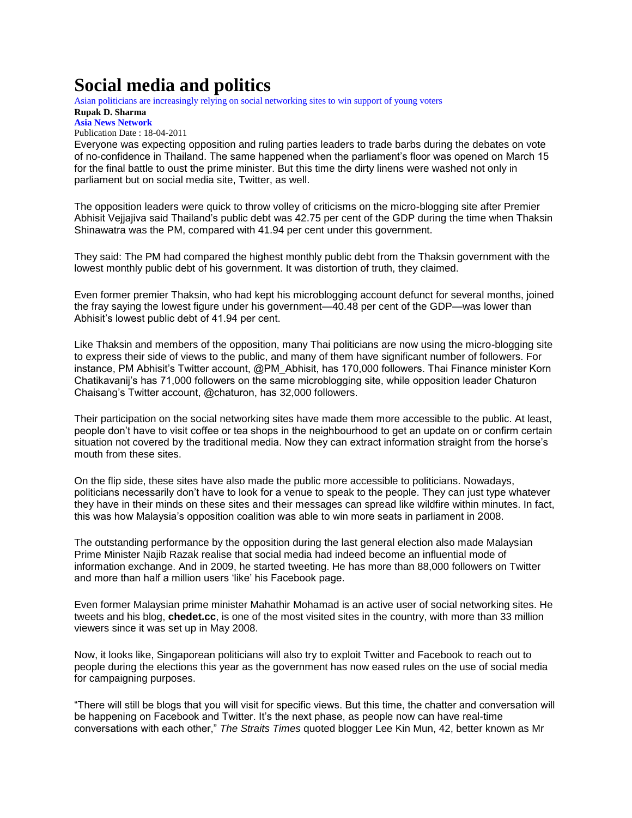## **Social media and politics**

Asian politicians are increasingly relying on social networking sites to win support of young voters

## **Rupak D. Sharma [Asia News Network](http://www.asianewsnet.net/)**

Publication Date : 18-04-2011

Everyone was expecting opposition and ruling parties leaders to trade barbs during the debates on vote of no-confidence in Thailand. The same happened when the parliament"s floor was opened on March 15 for the final battle to oust the prime minister. But this time the dirty linens were washed not only in parliament but on social media site, Twitter, as well.

The opposition leaders were quick to throw volley of criticisms on the micro-blogging site after Premier Abhisit Vejjajiva said Thailand"s public debt was 42.75 per cent of the GDP during the time when Thaksin Shinawatra was the PM, compared with 41.94 per cent under this government.

They said: The PM had compared the highest monthly public debt from the Thaksin government with the lowest monthly public debt of his government. It was distortion of truth, they claimed.

Even former premier Thaksin, who had kept his microblogging account defunct for several months, joined the fray saying the lowest figure under his government—40.48 per cent of the GDP—was lower than Abhisit"s lowest public debt of 41.94 per cent.

Like Thaksin and members of the opposition, many Thai politicians are now using the micro-blogging site to express their side of views to the public, and many of them have significant number of followers. For instance, PM Abhisit's Twitter account, @PM Abhisit, has 170,000 followers. Thai Finance minister Korn Chatikavanij"s has 71,000 followers on the same microblogging site, while opposition leader Chaturon Chaisang"s Twitter account, @chaturon, has 32,000 followers.

Their participation on the social networking sites have made them more accessible to the public. At least, people don"t have to visit coffee or tea shops in the neighbourhood to get an update on or confirm certain situation not covered by the traditional media. Now they can extract information straight from the horse's mouth from these sites.

On the flip side, these sites have also made the public more accessible to politicians. Nowadays, politicians necessarily don"t have to look for a venue to speak to the people. They can just type whatever they have in their minds on these sites and their messages can spread like wildfire within minutes. In fact, this was how Malaysia"s opposition coalition was able to win more seats in parliament in 2008.

The outstanding performance by the opposition during the last general election also made Malaysian Prime Minister Najib Razak realise that social media had indeed become an influential mode of information exchange. And in 2009, he started tweeting. He has more than 88,000 followers on Twitter and more than half a million users "like" his Facebook page.

Even former Malaysian prime minister Mahathir Mohamad is an active user of social networking sites. He tweets and his blog, **chedet.cc**, is one of the most visited sites in the country, with more than 33 million viewers since it was set up in May 2008.

Now, it looks like, Singaporean politicians will also try to exploit Twitter and Facebook to reach out to people during the elections this year as the government has now eased rules on the use of social media for campaigning purposes.

"There will still be blogs that you will visit for specific views. But this time, the chatter and conversation will be happening on Facebook and Twitter. It's the next phase, as people now can have real-time conversations with each other," *The Straits Times* quoted blogger Lee Kin Mun, 42, better known as Mr